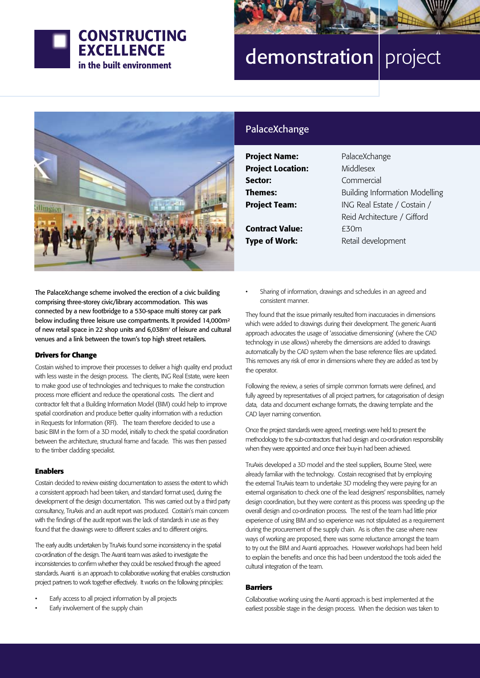

# demonstration | project



# PalaceXchange

Project Name: PalaceXchange Project Location: Middlesex Sector: Commercial Contract Value: F30m

**Themes:** Building Information Modelling **Project Team:** ING Real Estate / Costain / Reid Architecture / Gifford **Type of Work:** Retail development

The PalaceXchange scheme involved the erection of a civic building comprising three-storey civic/library accommodation. This was connected by a new footbridge to a 530-space multi storey car park below including three leisure use compartments. It provided 14,000m² of new retail space in 22 shop units and 6,038m² of leisure and cultural venues and a link between the town's top high street retailers.

#### **Drivers for Change**

Costain wished to improve their processes to deliver a high quality end product with less waste in the design process. The clients, ING Real Estate, were keen to make good use of technologies and techniques to make the construction process more efficient and reduce the operational costs. The client and contractor felt that a Building Information Model (BIM) could help to improve spatial coordination and produce better quality information with a reduction in Requests for Information (RFI). The team therefore decided to use a basic BIM in the form of a 3D model, initially to check the spatial coordination between the architecture, structural frame and facade. This was then passed to the timber cladding specialist.

## **Enablers**

Costain decided to review existing documentation to assess the extent to which a consistent approach had been taken, and standard format used, during the development of the design documentation. This was carried out by a third party consultancy, TruAxis and an audit report was produced. Costain's main concern with the findings of the audit report was the lack of standards in use as they found that the drawings were to different scales and to different origins.

The early audits undertaken by TruAxis found some inconsistency in the spatial co-ordination of the design. The Avanti team was asked to investigate the inconsistencies to confirm whether they could be resolved through the agreed standards. Avanti is an approach to collaborative working that enables construction project partners to work together effectively. It works on the following principles:

- Early access to all project information by all projects
- Early involvement of the supply chain

Sharing of information, drawings and schedules in an agreed and consistent manner.

They found that the issue primarily resulted from inaccuracies in dimensions which were added to drawings during their development. The generic Avanti approach advocates the usage of 'associative dimensioning' (where the CAD technology in use allows) whereby the dimensions are added to drawings automatically by the CAD system when the base reference files are updated. This removes any risk of error in dimensions where they are added as text by the operator.

Following the review, a series of simple common formats were defined, and fully agreed by representatives of all project partners, for catagorisation of design data, data and document exchange formats, the drawing template and the CAD layer naming convention.

Once the project standards were agreed, meetings were held to present the methodology to the sub-contractors that had design and co-ordination responsibility when they were appointed and once their buy-in had been achieved.

TruAxis developed a 3D model and the steel suppliers, Bourne Steel, were already familiar with the technology. Costain recognised that by employing the external TruAxis team to undertake 3D modeling they were paying for an external organisation to check one of the lead designers' responsibilities, namely design coordination, but they were content as this process was speeding up the overall design and co-ordination process. The rest of the team had little prior experience of using BIM and so experience was not stipulated as a requirement during the procurement of the supply chain. As is often the case where new ways of working are proposed, there was some reluctance amongst the team to try out the BIM and Avanti approaches. However workshops had been held to explain the benefits and once this had been understood the tools aided the cultural integration of the team.

## **Barriers**

Collaborative working using the Avanti approach is best implemented at the earliest possible stage in the design process. When the decision was taken to